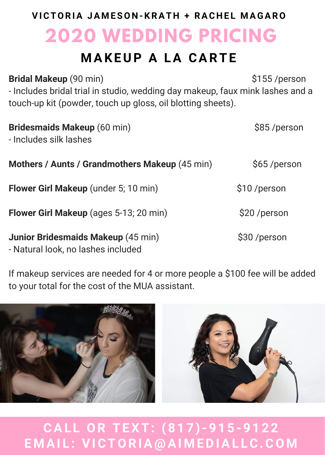## **2020 WEDDING PRICING VICTORIA JA M ESO N -KRAT H + RAC H E L M AGARO**

## **M AKEUP A LA CARTE**

**Bridal Makeup** (90 min) **\$155** /person - Includes bridal trial in studio, wedding day makeup, faux mink lashes and a touch-up kit (powder, touch up gloss, oil blotting sheets).

| <b>Bridesmaids Makeup (60 min)</b><br>- Includes silk lashes             | \$85/person   |
|--------------------------------------------------------------------------|---------------|
| Mothers / Aunts / Grandmothers Makeup (45 min)                           | \$65/person   |
| Flower Girl Makeup (under 5; 10 min)                                     | \$10/person   |
| Flower Girl Makeup (ages 5-13; 20 min)                                   | \$20 / person |
| Junior Bridesmaids Makeup (45 min)<br>- Natural look, no lashes included | \$30 /person  |

If makeup services are needed for 4 or more people a \$100 fee will be added to your total for the cost of the MUA assistant.



**CAL L OR TEXT: ( 8 1 7 )- 9 1 5 - 9 1 2 2 E M AI L : VICTORIA @ AI M EDIAL LC.CO M**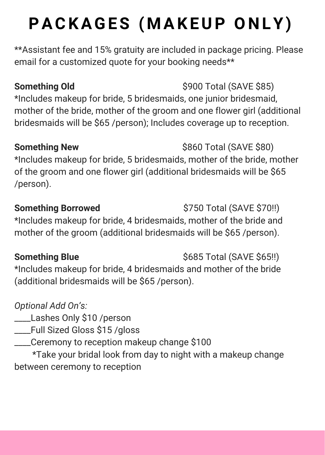# **PACKAGES ( M AKEUP O N LY)**

\*\*Assistant fee and 15% gratuity are included in package pricing. Please email for a customized quote for your booking needs\*\*

### **Something Old** \$900 Total (SAVE \$85)

\*Includes makeup for bride, 5 bridesmaids, one junior bridesmaid, mother of the bride, mother of the groom and one flower girl (additional bridesmaids will be \$65 /person); Includes coverage up to reception.

\*Includes makeup for bride, 5 bridesmaids, mother of the bride, mother of the groom and one flower girl (additional bridesmaids will be \$65 /person).

**Something Borrowed** \$750 Total (SAVE \$70!!) \*Includes makeup for bride, 4 bridesmaids, mother of the bride and mother of the groom (additional bridesmaids will be \$65 /person).

### **Something Blue** \$685 Total (SAVE \$65!!)

\*Includes makeup for bride, 4 bridesmaids and mother of the bride (additional bridesmaids will be \$65 /person).

*Optional Add On's:*

\_\_\_\_Lashes Only \$10 /person

\_\_\_\_Full Sized Gloss \$15 /gloss

\_\_\_\_Ceremony to reception makeup change \$100

\*Take your bridal look from day to night with a makeup change between ceremony to reception

**Something New** \$860 Total (SAVE \$80)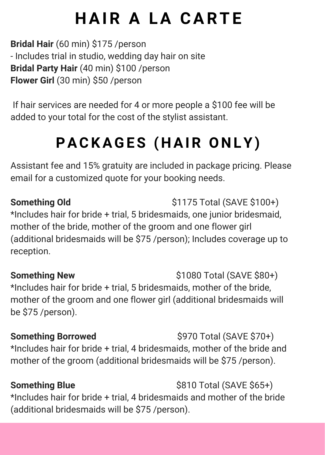## **H AIR A LA CARTE**

**Bridal Hair** (60 min) \$175 /person - Includes trial in studio, wedding day hair on site **Bridal Party Hair** (40 min) \$100 /person **Flower Girl** (30 min) \$50 /person

If hair services are needed for 4 or more people a \$100 fee will be added to your total for the cost of the stylist assistant.

## **PACKAGES ( H AIR O N LY)**

Assistant fee and 15% gratuity are included in package pricing. Please email for a customized quote for your booking needs.

**Something Old** \$1175 Total (SAVE \$100+) \*Includes hair for bride + trial, 5 bridesmaids, one junior bridesmaid, mother of the bride, mother of the groom and one flower girl (additional bridesmaids will be \$75 /person); Includes coverage up to reception.

**Something New**  $\text{S1080}$  Total (SAVE \$80+) \*Includes hair for bride + trial, 5 bridesmaids, mother of the bride, mother of the groom and one flower girl (additional bridesmaids will be \$75 /person).

**Something Borrowed**  $\left\{\frac{1}{2} \cdot \frac{1}{2} \cdot \frac{1}{2} \cdot \frac{1}{2} \cdot \frac{1}{2} \cdot \frac{1}{2} \cdot \frac{1}{2} \cdot \frac{1}{2} \cdot \frac{1}{2} \cdot \frac{1}{2} \cdot \frac{1}{2} \cdot \frac{1}{2} \cdot \frac{1}{2} \cdot \frac{1}{2} \cdot \frac{1}{2} \cdot \frac{1}{2} \cdot \frac{1}{2} \cdot \frac{1}{2} \cdot \frac{1}{2} \cdot \frac{1}{2} \cdot \frac{1}{2} \cdot \frac{1}{2} \$ \*Includes hair for bride + trial, 4 bridesmaids, mother of the bride and mother of the groom (additional bridesmaids will be \$75 /person).

**Something Blue**  $$810$  Total (SAVE \$65+) \*Includes hair for bride + trial, 4 bridesmaids and mother of the bride (additional bridesmaids will be \$75 /person).